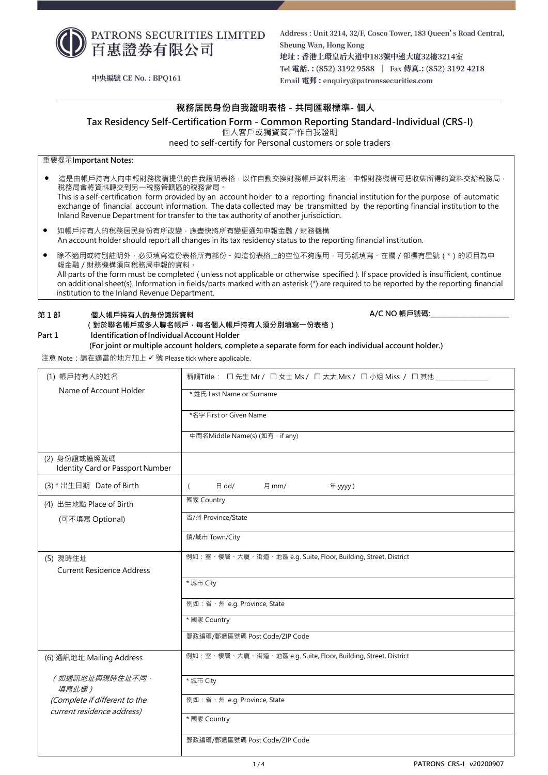

Address: Unit 3214, 32/F, Cosco Tower, 183 Queen's Road Central, Sheung Wan, Hong Kong 地址:香港上環皇后大道中183號中遠大廈32樓3214室 Tel 電話.: (852) 3192 9588 | Fax 傳真.: (852) 3192 4218 Email 電郵: enquiry@patronssecurities.com

**A/C NO 帳戶號碼:\_\_\_\_\_\_\_\_\_\_\_\_\_\_\_\_\_\_\_\_\_\_\_\_**

中央編號 CE No.: BPO161

# **稅務居民身份自我證明表格 - 共同匯報標準- 個人**

**Tax Residency Self-Certification Form - Common Reporting Standard-Individual (CRS-I)**

個人客戶或獨資商戶作自我證明

need to self-certify for Personal customers or sole traders

重要提示**Important Notes:**

這是由帳戶持有人向申報財務機構提供的自我證明表格,以作自動交換財務帳戶資料用途。申報財務機構可把收集所得的資料交給稅務局, 稅務局會將資料轉交到另一稅務管轄區的稅務當局。

This is a self-certification form provided by an account holder to a reporting financial institution for the purpose of automatic exchange of financial account information. The data collected may be transmitted by the reporting financial institution to the Inland Revenue Department for transfer to the tax authority of another jurisdiction.

- 如帳戶持有人的稅務居民身份有所改變,應盡快將所有變更通知申報金融 / 財務機構 An account holder should report all changes in its tax residency status to the reporting financial institution.
- 除不適用或特別註明外,必須填寫這份表格所有部份。如這份表格上的空位不夠應用,可另紙填寫。在欄/部標有星號(\*)的項目為申 報金融/財務機構須向稅務局申報的資料。 All parts of the form must be completed ( unless not applicable or otherwise specified ). If space provided is insufficient, continue

on additional sheet(s). Information in fields/parts marked with an asterisk (\*) are required to be reported by the reporting financial institution to the Inland Revenue Department.

# **第 1 部 個人帳戶持有人的身份識辨資料**

# **(對於聯名帳戶或多人聯名帳戶,每名個人帳戶持有人須分別填寫一份表格) Part 1 IdentificationofIndividual Account Holder**

**(For joint or multiple account holders, complete a separate form for each individual account holder.)**

注意 Note:請在適當的地方加上 ✓ 號 Please tick where applicable.

| (1) 帳戶持有人的姓名                                                | 稱謂Title : 口先生 Mr / 口女士 Ms / 口太太 Mrs / 口小姐 Miss / 口其他           |  |
|-------------------------------------------------------------|----------------------------------------------------------------|--|
| Name of Account Holder                                      | * 姓氏 Last Name or Surname                                      |  |
|                                                             | *名字 First or Given Name                                        |  |
|                                                             | 中間名Middle Name(s) (如有, if any)                                 |  |
|                                                             |                                                                |  |
| (2) 身份證或護照號碼<br>Identity Card or Passport Number            |                                                                |  |
| (3) * 出生日期 Date of Birth                                    | $\boxminus$ dd/<br>月 mm/<br>年 yyyy)<br>$\left($                |  |
| (4) 出生地點 Place of Birth                                     | 國家 Country                                                     |  |
| (可不填寫 Optional)                                             | 省/州 Province/State                                             |  |
|                                                             | 鎮/城市 Town/City                                                 |  |
| (5) 現時住址                                                    | 例如:室、樓層、大廈、街道、地區 e.g. Suite, Floor, Building, Street, District |  |
| <b>Current Residence Address</b>                            |                                                                |  |
|                                                             | * 城市 City                                                      |  |
|                                                             | 例如:省、州 e.g. Province, State                                    |  |
|                                                             | * 國家 Country                                                   |  |
|                                                             | 郵政編碼/郵遞區號碼 Post Code/ZIP Code                                  |  |
| (6) 通訊地址 Mailing Address                                    | 例如:室、樓層、大廈、街道、地區 e.g. Suite, Floor, Building, Street, District |  |
| (如通訊地址與現時住址不同,                                              | * 城市 City                                                      |  |
| 填寫此欄)                                                       |                                                                |  |
| (Complete if different to the<br>current residence address) | 例如:省、州 e.g. Province, State                                    |  |
|                                                             | * 國家 Country                                                   |  |
|                                                             | 郵政編碼/郵遞區號碼 Post Code/ZIP Code                                  |  |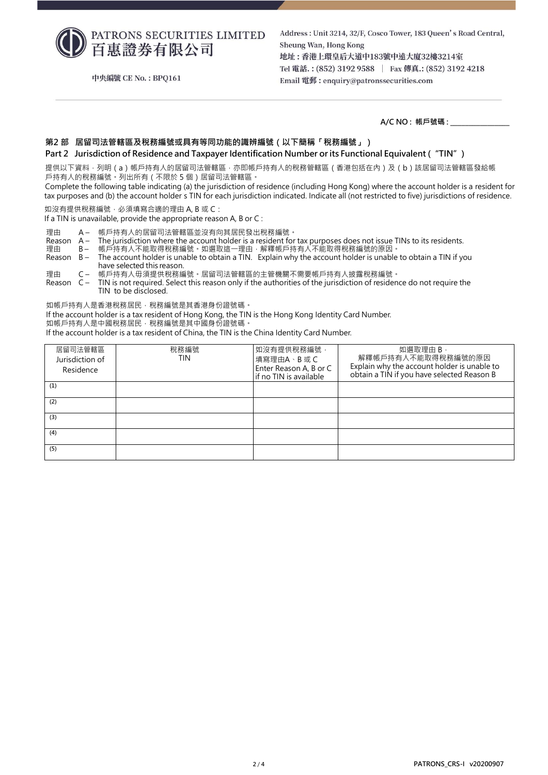PATRONS SECURITIES LIMITED 百惠證券有限公司

中央編號 CE No.: BPQ161

Address: Unit 3214, 32/F, Cosco Tower, 183 Queen's Road Central, Sheung Wan, Hong Kong 地址:香港上環皇后大道中183號中遠大廈32樓3214室 Tel 電話.: (852) 3192 9588 | Fax 傳真.: (852) 3192 4218 Email 電郵: enquiry@patronssecurities.com

**A/C NO : 帳戶號碼 : \_\_\_\_\_\_\_\_\_\_\_\_\_\_\_\_**

### **第2 部 居留司法管轄區及稅務編號或具有等同功能的識辨編號(以下簡稱「稅務編號」)**

#### **Part 2 Jurisdiction of Residence and Taxpayer Identification Number or its Functional Equivalent ("TIN")**

提供以下資料,列明(a)帳戶持有人的居留司法管轄區,亦即帳戶持有人的稅務管轄區 (香港包括在內 )及 ( b ) 該居留司法管轄區發給帳 戶持有人的稅務編號。列出所有(不限於 5 個)居留司法管轄區。

Complete the following table indicating (a) the jurisdiction of residence (including Hong Kong) where the account holder is a resident for tax purposes and (b) the account holder 's TIN for each jurisdiction indicated. Indicate all (not restricted to five) jurisdictions of residence.

如沒有提供稅務編號,必須填寫合適的理由 A, B 或 C:

If a TIN is unavailable, provide the appropriate reason A, B or C :

理由 A – 帳戶持有人的居留司法管轄區並沒有向其居民發出稅務編號。<br>Reason A – The jurisdiction where the account holder is a resident for

Reason A – The jurisdiction where the account holder is a resident for tax purposes does not issue TINs to its residents.<br>理由 B – 帳戶持有人不能取得稅務編號。如選取狺一理由,解釋帳戶持有人不能取得稅務編號的原因。

理由 B – 帳戶持有人不能取得稅務編號。如選取這一理由,解釋帳戶持有人不能取得稅務編號的原因。<br>Reason B – The account holder is unable to obtain a TIN. Explain why the account holder is unable

The account holder is unable to obtain a TIN. Explain why the account holder is unable to obtain a TIN if you have selected this reason.

理由 C – 帳戶持有人毋須提供稅務編號。居留司法管轄區的主管機關不需要帳戶持有人披露稅務編號。<br>Reason C – TIN is not required. Select this reason only if the authorities of the jurisdiction of residen TIN is not required. Select this reason only if the authorities of the jurisdiction of residence do not require the TIN to be disclosed.

如帳戶持有人是香港稅務居民,稅務編號是其香港身份證號碼。

If the account holder is a tax resident of Hong Kong, the TIN is the Hong Kong Identity Card Number.

如帳戶持有人是中國稅務居民,稅務編號是其中國身份證號碼。

If the account holder is a tax resident of China, the TIN is the China Identity Card Number.

| 居留司法管轄區<br>Jurisdiction of<br>Residence | 稅務編號<br><b>TIN</b> | 如沒有提供稅務編號,<br>填寫理由A、B 或 C<br>Enter Reason A, B or C<br>if no TIN is available | 如選取理由 B,<br>解釋帳戶持有人不能取得稅務編號的原因<br>Explain why the account holder is unable to<br>obtain a TIN if you have selected Reason B |
|-----------------------------------------|--------------------|-------------------------------------------------------------------------------|-----------------------------------------------------------------------------------------------------------------------------|
| (1)                                     |                    |                                                                               |                                                                                                                             |
| (2)                                     |                    |                                                                               |                                                                                                                             |
| (3)                                     |                    |                                                                               |                                                                                                                             |
| (4)                                     |                    |                                                                               |                                                                                                                             |
| (5)                                     |                    |                                                                               |                                                                                                                             |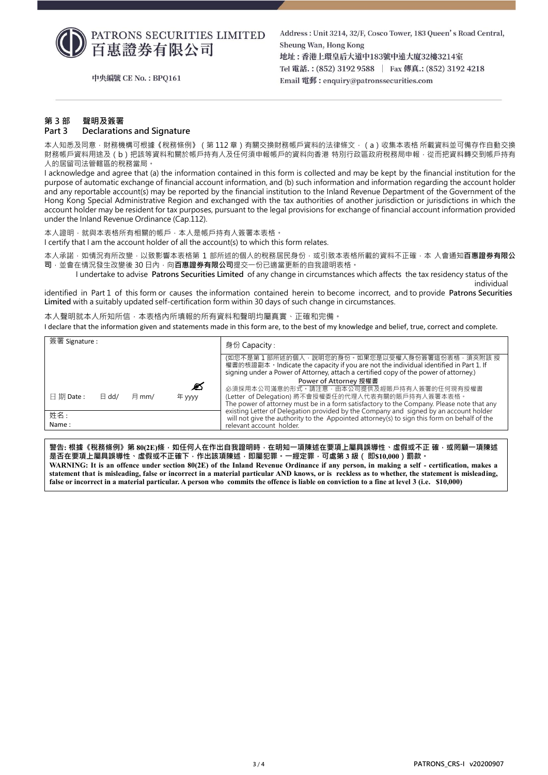

中央編號 CE No.: BPO161

Address: Unit 3214, 32/F, Cosco Tower, 183 Queen's Road Central, Sheung Wan, Hong Kong 地址:香港上環皇后大道中183號中遠大廈32樓3214室 Tel 電話.: (852) 3192 9588 | Fax 傳真.: (852) 3192 4218 Email 電郵: enquiry@patronssecurities.com

# **第 3 部 聲明及簽署**

# **Part 3 Declarations and Signature**

本人知悉及同意 · 財務機構可根據《稅務條例》(第 112 章)有關交換財務帳戶資料的法律條文 · (a)收集本表格 所載資料並可備存作自動交換 財務帳戶資料用途及(b)把該等資料和關於帳戶持有人及任何須申報帳戶的資料向香港 特別行政區政府稅務局申報 · 從而把資料轉交到帳戶持有 人的居留司法管轄區的稅務當局。

I acknowledge and agree that (a) the information contained in this form is collected and may be kept by the financial institution for the purpose of automatic exchange of financial account information, and (b) such information and information regarding the account holder and any reportable account(s) may be reported by the financial institution to the Inland Revenue Department of the Government of the Hong Kong Special Administrative Region and exchanged with the tax authorities of another jurisdiction or jurisdictions in which the account holder may be resident for tax purposes, pursuant to the legal provisions for exchange of financial account information provided under the Inland Revenue Ordinance (Cap.112).

本人證明,就與本表格所有相關的帳戶,本人是帳戶持有人簽署本表格。 I certify that I am the account holder of all the account(s) to which this form relates.

本人承諾,如情況有所改變,以致影響本表格第 1 部所述的個人的稅務居民身份,或引致本表格所載的資料不正確,本 人會通知**百惠證券有限公** 司,並會在情況發生改變後 30 日內,向百惠證券有限公司提交一份已適當更新的自我證明表格。

I undertake to advise **Patrons Securities Limited** of any change in circumstances which affects the tax residency status of the individual

identified in Part 1 of this form or causes the information contained herein to become incorrect, and to provide **Patrons Securities Limited** with a suitably updated self-certification form within 30 days of such change in circumstances.

本人聲明就本人所知所信,本表格內所填報的所有資料和聲明均屬真實、正確和完備。 I declare that the information given and statements made in this form are, to the best of my knowledge and belief, true, correct and complete.

| 簽署 Signature :                                            | 身份 Capacity :                                                                                                                                                                                                                           |
|-----------------------------------------------------------|-----------------------------------------------------------------------------------------------------------------------------------------------------------------------------------------------------------------------------------------|
|                                                           | (如您不是第 1 部所述的個人 · 說明您的身份 · 如果您是以受權人身份簽署這份表格 · 須夾附該 授<br>權書的核證副本 • Indicate the capacity if you are not the individual identified in Part 1. If<br>signing under a Power of Attorney, attach a certified copy of the power of attorney.) |
|                                                           | Power of Attorney 授權書                                                                                                                                                                                                                   |
| Ø                                                         | 必須採用本公司滿意的形式。請注意,由本公司提供及經賬戶持有人簽署的任何現有授權書                                                                                                                                                                                                |
| $\boxplus$ 期 Date :<br>$\boxminus$ dd/<br>月 mm/<br>年 yyyy | (Letter of Delegation) 將不會授權委任的代理人代表有關的賬戶持有人簽署本表格。                                                                                                                                                                                      |
|                                                           | The power of attorney must be in a form satisfactory to the Company. Please note that any                                                                                                                                               |
| 姓名:                                                       | existing Letter of Delegation provided by the Company and signed by an account holder<br>will not give the authority to the Appointed attorney(s) to sign this form on behalf of the                                                    |
| Name:                                                     | relevant account holder.                                                                                                                                                                                                                |

**警告: 根據《稅務條例》第 80(2E)條,如任何人在作出自我證明時,在明知一項陳述在要項上屬具誤導性、虛假或不正 確,或罔顧一項陳述 是否在要項上屬具誤導性、虛假或不正確下,作出該項陳述,即屬犯罪。一經定罪,可處第 3 級( 即\$10,000)罰款。 WARNING: It is an offence under section 80(2E) of the Inland Revenue Ordinance if any person, in making a self - certification, makes a statement that is misleading, false or incorrect in a material particular AND knows, or is reckless as to whether, the statement is misleading, false or incorrect in a material particular. A person who commits the offence is liable on conviction to a fine at level 3 (i.e. \$10,000)**